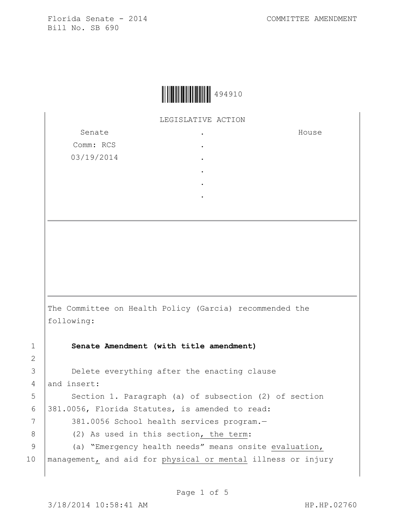

LEGISLATIVE ACTION .

> . . . . .

Senate Comm: RCS 03/19/2014 House

The Committee on Health Policy (Garcia) recommended the following:

1 **Senate Amendment (with title amendment)**

3 **Delete everything after the enacting clause** 4 and insert: 5 | Section 1. Paragraph (a) of subsection (2) of section 6 381.0056, Florida Statutes, is amended to read: 7 | 381.0056 School health services program.-8 (2) As used in this section, the term: 9 (a) "Emergency health needs" means onsite evaluation, 10 management, and aid for physical or mental illness or injury

2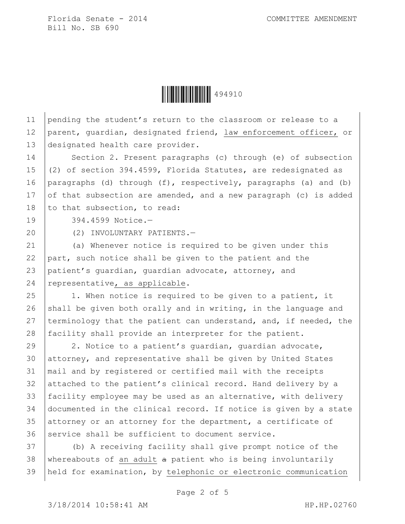**ÖÄÄÄÄÄÄÄÄÄÄÄÄÄÄÄÄÄ** 

11 pending the student's return to the classroom or release to a 12 parent, guardian, designated friend, law enforcement officer, or 13 designated health care provider.

14 Section 2. Present paragraphs (c) through (e) of subsection 15 (2) of section 394.4599, Florida Statutes, are redesignated as 16 | paragraphs (d) through (f), respectively, paragraphs (a) and (b) 17 of that subsection are amended, and a new paragraph (c) is added 18 to that subsection, to read:

19 394.4599 Notice.—

20 (2) INVOLUNTARY PATIENTS.—

 (a) Whenever notice is required to be given under this  $part$ , such notice shall be given to the patient and the patient's guardian, guardian advocate, attorney, and  $|$  representative, as applicable.

 $25$  | 1. When notice is required to be given to a patient, it 26 shall be given both orally and in writing, in the language and 27 terminology that the patient can understand, and, if needed, the 28 facility shall provide an interpreter for the patient.

29 2. Notice to a patient's quardian, quardian advocate, attorney, and representative shall be given by United States mail and by registered or certified mail with the receipts attached to the patient's clinical record. Hand delivery by a facility employee may be used as an alternative, with delivery documented in the clinical record. If notice is given by a state 35 attorney or an attorney for the department, a certificate of 36 service shall be sufficient to document service.

37 (b) A receiving facility shall give prompt notice of the 38 | whereabouts of an adult  $a$  patient who is being involuntarily 39 held for examination, by telephonic or electronic communication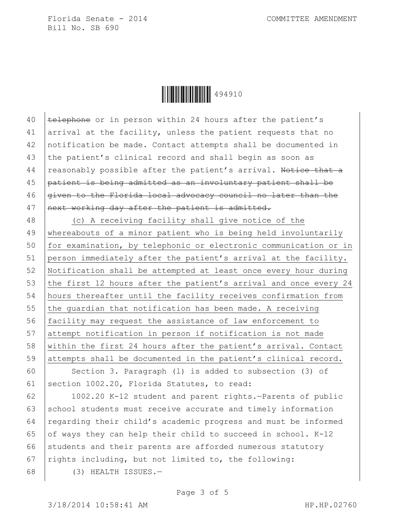**ÖÄÄÄÄÄÄÄÄÄÄÄÄÄÄÄÄÄÄ** 

 $\left|$  telephone or in person within 24 hours after the patient's arrival at the facility, unless the patient requests that no notification be made. Contact attempts shall be documented in 43 the patient's clinical record and shall begin as soon as 44 reasonably possible after the patient's arrival. Notice that a patient is being admitted as an involuntary patient shall be  $q$ iven to the Florida local advocacy council no later than the 47 | next working day after the patient is admitted.

 (c) A receiving facility shall give notice of the whereabouts of a minor patient who is being held involuntarily 50 for examination, by telephonic or electronic communication or in person immediately after the patient's arrival at the facility. Notification shall be attempted at least once every hour during 53 the first 12 hours after the patient's arrival and once every 24 hours thereafter until the facility receives confirmation from 55 the guardian that notification has been made. A receiving 56 facility may request the assistance of law enforcement to attempt notification in person if notification is not made within the first 24 hours after the patient's arrival. Contact attempts shall be documented in the patient's clinical record.

60 Section 3. Paragraph (l) is added to subsection (3) of 61 section 1002.20, Florida Statutes, to read:

62 1002.20 K-12 student and parent rights.—Parents of public 63 school students must receive accurate and timely information 64 regarding their child's academic progress and must be informed 65 of ways they can help their child to succeed in school.  $K-12$ 66 students and their parents are afforded numerous statutory 67  $\vert$ rights including, but not limited to, the following: 68 (3) HEALTH ISSUES.—

Page 3 of 5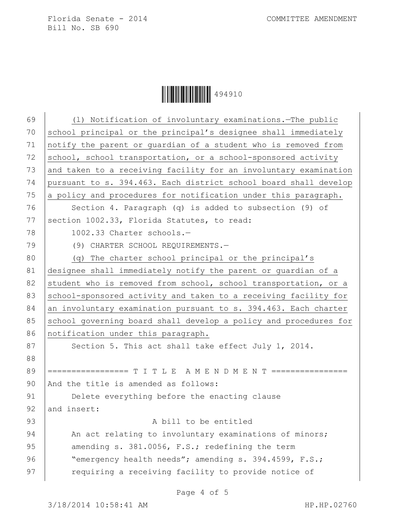**││││││││││││││││** 494910

| 69 | (1) Notification of involuntary examinations. - The public       |
|----|------------------------------------------------------------------|
| 70 | school principal or the principal's designee shall immediately   |
| 71 | notify the parent or guardian of a student who is removed from   |
| 72 | school, school transportation, or a school-sponsored activity    |
| 73 | and taken to a receiving facility for an involuntary examination |
| 74 | pursuant to s. 394.463. Each district school board shall develop |
| 75 | a policy and procedures for notification under this paragraph.   |
| 76 | Section 4. Paragraph (q) is added to subsection (9) of           |
| 77 | section 1002.33, Florida Statutes, to read:                      |
| 78 | 1002.33 Charter schools.-                                        |
| 79 | (9) CHARTER SCHOOL REQUIREMENTS.-                                |
| 80 | (q) The charter school principal or the principal's              |
| 81 | designee shall immediately notify the parent or quardian of a    |
| 82 | student who is removed from school, school transportation, or a  |
| 83 | school-sponsored activity and taken to a receiving facility for  |
| 84 | an involuntary examination pursuant to s. 394.463. Each charter  |
| 85 | school governing board shall develop a policy and procedures for |
| 86 | notification under this paragraph.                               |
| 87 | Section 5. This act shall take effect July 1, 2014.              |
| 88 |                                                                  |
| 89 | ================= T I T L E A M E N D M E N T ================   |
| 90 | And the title is amended as follows:                             |
| 91 | Delete everything before the enacting clause                     |
| 92 | and insert:                                                      |
| 93 | A bill to be entitled                                            |
| 94 | An act relating to involuntary examinations of minors;           |
| 95 | amending s. 381.0056, F.S.; redefining the term                  |
| 96 | "emergency health needs"; amending s. 394.4599, F.S.;            |
| 97 | requiring a receiving facility to provide notice of              |
|    |                                                                  |

Page 4 of 5